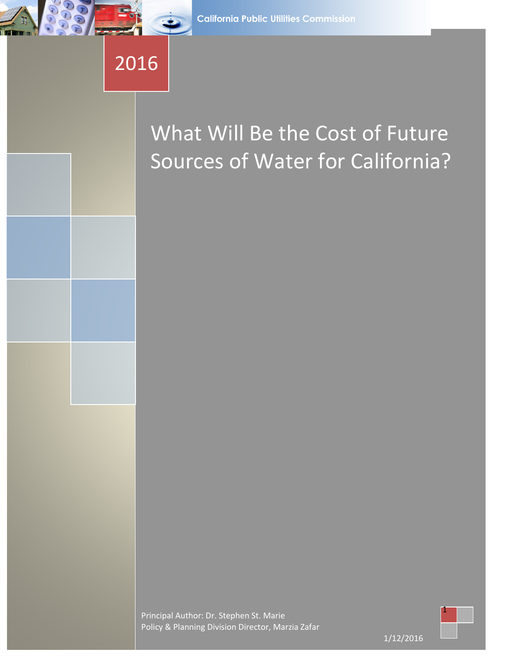# 2016

## What Will Be the Cost of Future Sources of Water for California?

Principal Author: Dr. Stephen St. Marie Policy & Planning Division Director, Marzia Zafar

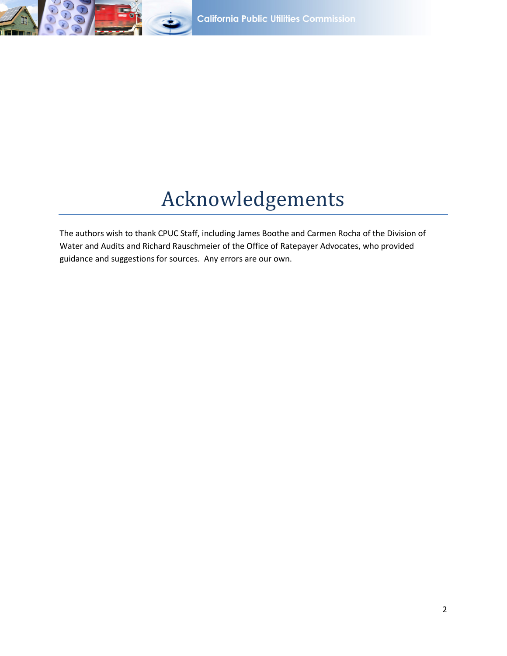

## Acknowledgements

The authors wish to thank CPUC Staff, including James Boothe and Carmen Rocha of the Division of Water and Audits and Richard Rauschmeier of the Office of Ratepayer Advocates, who provided guidance and suggestions for sources. Any errors are our own.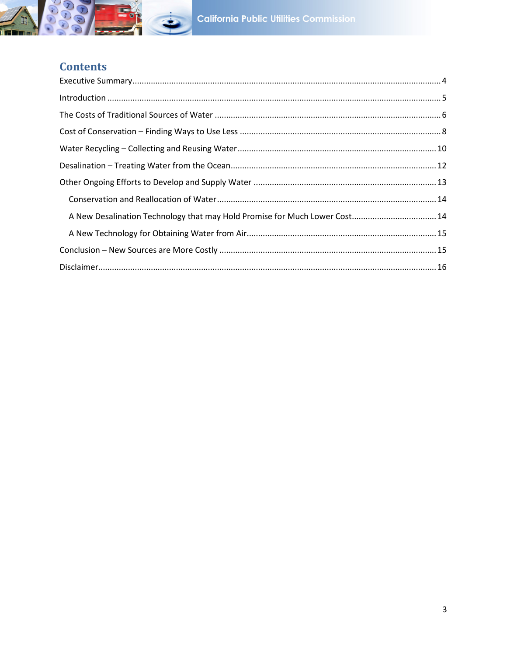

## **Contents**

| A New Desalination Technology that may Hold Promise for Much Lower Cost 14 |  |
|----------------------------------------------------------------------------|--|
|                                                                            |  |
|                                                                            |  |
|                                                                            |  |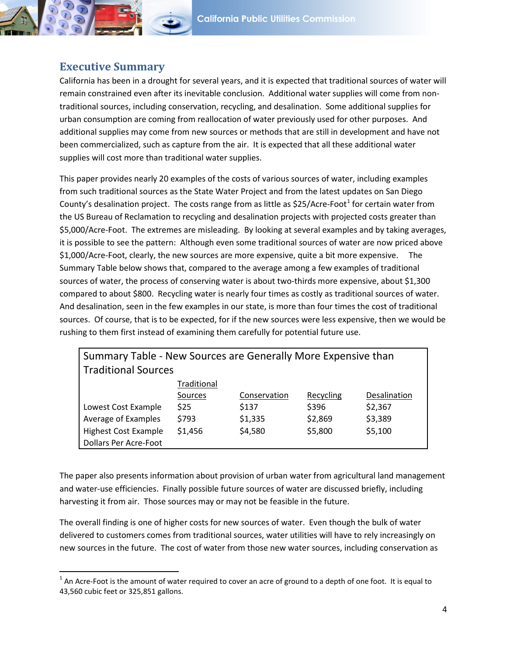### <span id="page-3-0"></span>**Executive Summary**

 $\overline{\phantom{a}}$ 

California has been in a drought for several years, and it is expected that traditional sources of water will remain constrained even after its inevitable conclusion. Additional water supplies will come from nontraditional sources, including conservation, recycling, and desalination. Some additional supplies for urban consumption are coming from reallocation of water previously used for other purposes. And additional supplies may come from new sources or methods that are still in development and have not been commercialized, such as capture from the air. It is expected that all these additional water supplies will cost more than traditional water supplies.

This paper provides nearly 20 examples of the costs of various sources of water, including examples from such traditional sources as the State Water Project and from the latest updates on San Diego County's desalination project. The costs range from as little as  $$25/Acc$ e-Foot<sup>[1](#page-3-1)</sup> for certain water from the US Bureau of Reclamation to recycling and desalination projects with projected costs greater than \$5,000/Acre-Foot. The extremes are misleading. By looking at several examples and by taking averages, it is possible to see the pattern: Although even some traditional sources of water are now priced above \$1,000/Acre-Foot, clearly, the new sources are more expensive, quite a bit more expensive. The Summary Table below shows that, compared to the average among a few examples of traditional sources of water, the process of conserving water is about two-thirds more expensive, about \$1,300 compared to about \$800. Recycling water is nearly four times as costly as traditional sources of water. And desalination, seen in the few examples in our state, is more than four times the cost of traditional sources. Of course, that is to be expected, for if the new sources were less expensive, then we would be rushing to them first instead of examining them carefully for potential future use.

| Summary Table - New Sources are Generally More Expensive than |             |              |           |              |  |  |
|---------------------------------------------------------------|-------------|--------------|-----------|--------------|--|--|
| <b>Traditional Sources</b>                                    |             |              |           |              |  |  |
|                                                               | Traditional |              |           |              |  |  |
|                                                               | Sources     | Conservation | Recycling | Desalination |  |  |
| Lowest Cost Example                                           | <b>\$25</b> | \$137        | \$396     | \$2,367      |  |  |
| Average of Examples                                           | \$793       | \$1,335      | \$2,869   | \$3,389      |  |  |
| <b>Highest Cost Example</b>                                   | \$1,456     | \$4,580      | \$5,800   | \$5,100      |  |  |
| <b>Dollars Per Acre-Foot</b>                                  |             |              |           |              |  |  |

The paper also presents information about provision of urban water from agricultural land management and water-use efficiencies. Finally possible future sources of water are discussed briefly, including harvesting it from air. Those sources may or may not be feasible in the future.

The overall finding is one of higher costs for new sources of water. Even though the bulk of water delivered to customers comes from traditional sources, water utilities will have to rely increasingly on new sources in the future. The cost of water from those new water sources, including conservation as

<span id="page-3-1"></span> $1$  An Acre-Foot is the amount of water required to cover an acre of ground to a depth of one foot. It is equal to 43,560 cubic feet or 325,851 gallons.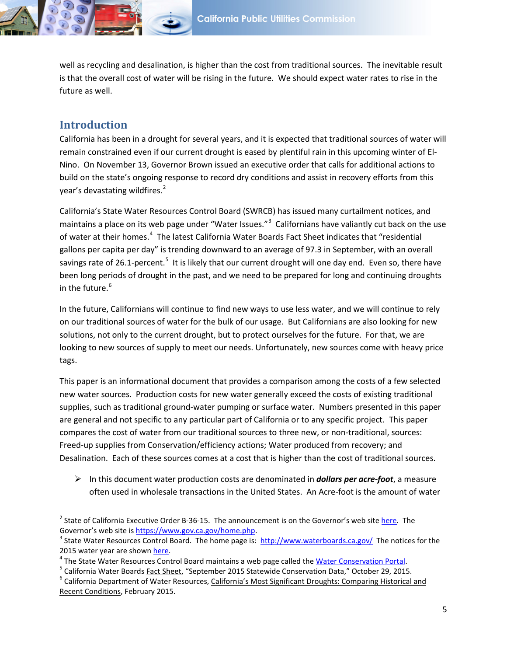well as recycling and desalination, is higher than the cost from traditional sources. The inevitable result is that the overall cost of water will be rising in the future. We should expect water rates to rise in the future as well.

#### <span id="page-4-0"></span>**Introduction**

l

California has been in a drought for several years, and it is expected that traditional sources of water will remain constrained even if our current drought is eased by plentiful rain in this upcoming winter of El-Nino. On November 13, Governor Brown issued an executive order that calls for additional actions to build on the state's ongoing response to record dry conditions and assist in recovery efforts from this year's devastating wildfires.<sup>[2](#page-4-1)</sup>

California's State Water Resources Control Board (SWRCB) has issued many curtailment notices, and maintains a place on its web page under "Water Issues."<sup>[3](#page-4-2)</sup> Californians have valiantly cut back on the use of water at their homes.<sup>[4](#page-4-3)</sup> The latest California Water Boards Fact Sheet indicates that "residential gallons per capita per day" is trending downward to an average of 97.3 in September, with an overall savings rate of 26.1-percent.<sup>[5](#page-4-4)</sup> It is likely that our current drought will one day end. Even so, there have been long periods of drought in the past, and we need to be prepared for long and continuing droughts in the future.<sup>[6](#page-4-5)</sup>

In the future, Californians will continue to find new ways to use less water, and we will continue to rely on our traditional sources of water for the bulk of our usage. But Californians are also looking for new solutions, not only to the current drought, but to protect ourselves for the future. For that, we are looking to new sources of supply to meet our needs. Unfortunately, new sources come with heavy price tags.

This paper is an informational document that provides a comparison among the costs of a few selected new water sources. Production costs for new water generally exceed the costs of existing traditional supplies, such as traditional ground-water pumping or surface water. Numbers presented in this paper are general and not specific to any particular part of California or to any specific project. This paper compares the cost of water from our traditional sources to three new, or non-traditional, sources: Freed-up supplies from Conservation/efficiency actions; Water produced from recovery; and Desalination. Each of these sources comes at a cost that is higher than the cost of traditional sources.

 $\triangleright$  In this document water production costs are denominated in *dollars per acre-foot*, a measure often used in wholesale transactions in the United States. An Acre-foot is the amount of water

<span id="page-4-1"></span><sup>&</sup>lt;sup>2</sup> State of California Executive Order B-36-15. The announcement is on the Governor's web site [here.](https://www.gov.ca.gov/news.php?id=19191) The Governor's web site is https://www.gov.ca.gov/home.php.<br><sup>3</sup> State Water Resources Control Board. The home page is:<http://www.waterboards.ca.gov/>The notices for the

<span id="page-4-2"></span>

<span id="page-4-3"></span>

<span id="page-4-5"></span><span id="page-4-4"></span>

<sup>2015</sup> water year are shown <u>here</u>.<br><sup>4</sup> The State Water Resources Control Board maintains a web page called the <u>Water Conservation Portal</u>.<br><sup>5</sup> California Water Boards <u>Fact Sheet</u>, "September 2015 Statewide Conservation Da Recent Conditions, February 2015.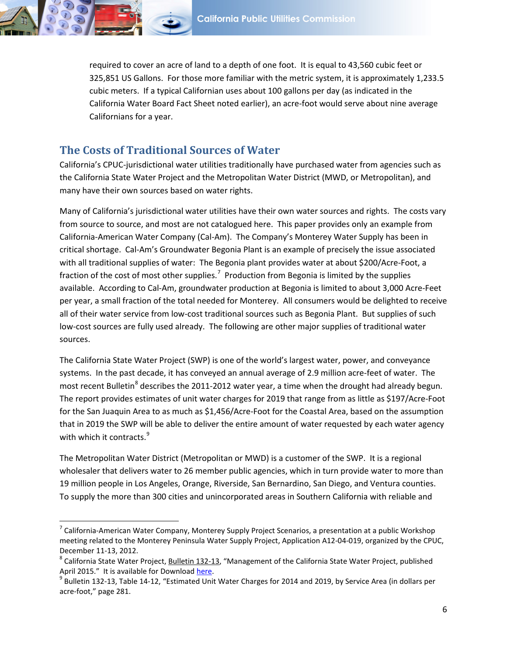required to cover an acre of land to a depth of one foot. It is equal to 43,560 cubic feet or 325,851 US Gallons. For those more familiar with the metric system, it is approximately 1,233.5 cubic meters. If a typical Californian uses about 100 gallons per day (as indicated in the California Water Board Fact Sheet noted earlier), an acre-foot would serve about nine average Californians for a year.

#### <span id="page-5-0"></span>**The Costs of Traditional Sources of Water**

 $\overline{\phantom{a}}$ 

California's CPUC-jurisdictional water utilities traditionally have purchased water from agencies such as the California State Water Project and the Metropolitan Water District (MWD, or Metropolitan), and many have their own sources based on water rights.

Many of California's jurisdictional water utilities have their own water sources and rights. The costs vary from source to source, and most are not catalogued here. This paper provides only an example from California-American Water Company (Cal-Am). The Company's Monterey Water Supply has been in critical shortage. Cal-Am's Groundwater Begonia Plant is an example of precisely the issue associated with all traditional supplies of water: The Begonia plant provides water at about \$200/Acre-Foot, a fraction of the cost of most other supplies.<sup>[7](#page-5-1)</sup> Production from Begonia is limited by the supplies available. According to Cal-Am, groundwater production at Begonia is limited to about 3,000 Acre-Feet per year, a small fraction of the total needed for Monterey. All consumers would be delighted to receive all of their water service from low-cost traditional sources such as Begonia Plant. But supplies of such low-cost sources are fully used already. The following are other major supplies of traditional water sources.

The California State Water Project (SWP) is one of the world's largest water, power, and conveyance systems. In the past decade, it has conveyed an annual average of 2.9 million acre-feet of water. The most recent Bulletin<sup>[8](#page-5-2)</sup> describes the 2011-2012 water year, a time when the drought had already begun. The report provides estimates of unit water charges for 2019 that range from as little as \$197/Acre-Foot for the San Juaquin Area to as much as \$1,456/Acre-Foot for the Coastal Area, based on the assumption that in 2019 the SWP will be able to deliver the entire amount of water requested by each water agency with which it contracts.<sup>[9](#page-5-3)</sup>

The Metropolitan Water District (Metropolitan or MWD) is a customer of the SWP. It is a regional wholesaler that delivers water to 26 member public agencies, which in turn provide water to more than 19 million people in Los Angeles, Orange, Riverside, San Bernardino, San Diego, and Ventura counties. To supply the more than 300 cities and unincorporated areas in Southern California with reliable and

<span id="page-5-1"></span> $^7$  California-American Water Company, Monterey Supply Project Scenarios, a presentation at a public Workshop meeting related to the Monterey Peninsula Water Supply Project, Application A12-04-019, organized by the CPUC, December 11-13, 2012.<br><sup>8</sup> California State Water Project, Bulletin 132-13, "Management of the California State Water Project, published

<span id="page-5-2"></span>April 2015." It is available for Download <u>here</u>.<br><sup>9</sup> Bulletin 132-13, Table 14-12, "Estimated Unit Water Charges for 2014 and 2019, by Service Area (in dollars per

<span id="page-5-3"></span>acre-foot," page 281.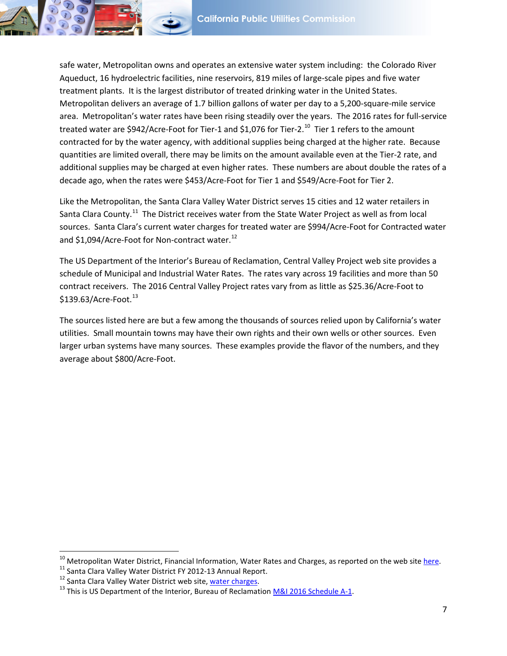safe water, Metropolitan owns and operates an extensive water system including: the Colorado River Aqueduct, 16 hydroelectric facilities, nine reservoirs, 819 miles of large-scale pipes and five water treatment plants. It is the largest distributor of treated drinking water in the United States. Metropolitan delivers an average of 1.7 billion gallons of water per day to a 5,200-square-mile service area. Metropolitan's water rates have been rising steadily over the years. The 2016 rates for full-service treated water are \$942/Acre-Foot for Tier-1 and \$1,076 for Tier-2.<sup>10</sup> Tier 1 refers to the amount contracted for by the water agency, with additional supplies being charged at the higher rate. Because quantities are limited overall, there may be limits on the amount available even at the Tier-2 rate, and additional supplies may be charged at even higher rates. These numbers are about double the rates of a decade ago, when the rates were \$453/Acre-Foot for Tier 1 and \$549/Acre-Foot for Tier 2.

Like the Metropolitan, the Santa Clara Valley Water District serves 15 cities and 12 water retailers in Santa Clara County.<sup>11</sup> The District receives water from the State Water Project as well as from local sources. Santa Clara's current water charges for treated water are \$994/Acre-Foot for Contracted water and \$1,094/Acre-Foot for Non-contract water. $^{12}$  $^{12}$  $^{12}$ 

The US Department of the Interior's Bureau of Reclamation, Central Valley Project web site provides a schedule of Municipal and Industrial Water Rates. The rates vary across 19 facilities and more than 50 contract receivers. The 2016 Central Valley Project rates vary from as little as \$25.36/Acre-Foot to  $$139.63/A$  $$139.63/A$  $$139.63/A$ cre-Foot. $^{13}$ 

The sources listed here are but a few among the thousands of sources relied upon by California's water utilities. Small mountain towns may have their own rights and their own wells or other sources. Even larger urban systems have many sources. These examples provide the flavor of the numbers, and they average about \$800/Acre-Foot.

<span id="page-6-0"></span><sup>&</sup>lt;sup>10</sup> Metropolitan Water District, Financial Information, Water Rates and Charges, as reported on the web site [here.](http://www.mwdh2o.com/WhoWeAre/Management/Financial-Information/Pages/default.aspx)<br><sup>11</sup> Santa Clara Valley Water District FY 2012-13 Annual Report.<br><sup>12</sup> Santa Clara Valley Water District w

<span id="page-6-1"></span>

<span id="page-6-2"></span>

<span id="page-6-3"></span>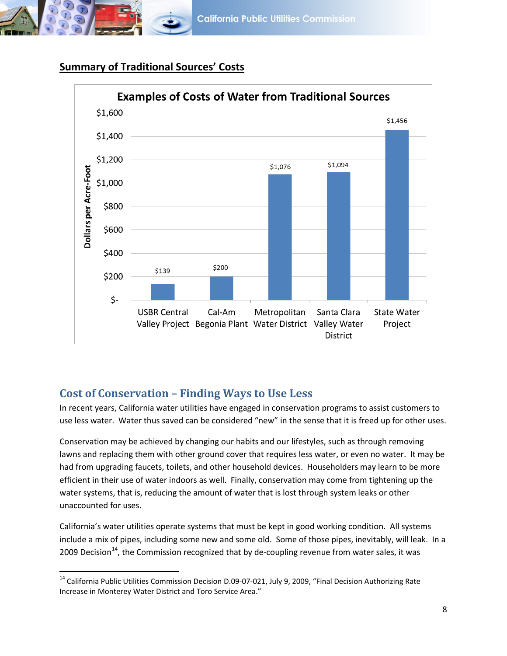



## **Summary of Traditional Sources' Costs**

## <span id="page-7-0"></span>**Cost of Conservation – Finding Ways to Use Less**

 $\overline{\phantom{a}}$ 

In recent years, California water utilities have engaged in conservation programs to assist customers to use less water. Water thus saved can be considered "new" in the sense that it is freed up for other uses.

Conservation may be achieved by changing our habits and our lifestyles, such as through removing lawns and replacing them with other ground cover that requires less water, or even no water. It may be had from upgrading faucets, toilets, and other household devices. Householders may learn to be more efficient in their use of water indoors as well. Finally, conservation may come from tightening up the water systems, that is, reducing the amount of water that is lost through system leaks or other unaccounted for uses.

California's water utilities operate systems that must be kept in good working condition. All systems include a mix of pipes, including some new and some old. Some of those pipes, inevitably, will leak. In a 2009 Decision<sup>[14](#page-7-1)</sup>, the Commission recognized that by de-coupling revenue from water sales, it was

<span id="page-7-1"></span><sup>&</sup>lt;sup>14</sup> California Public Utilities Commission Decision D.09-07-021, July 9, 2009, "Final Decision Authorizing Rate Increase in Monterey Water District and Toro Service Area."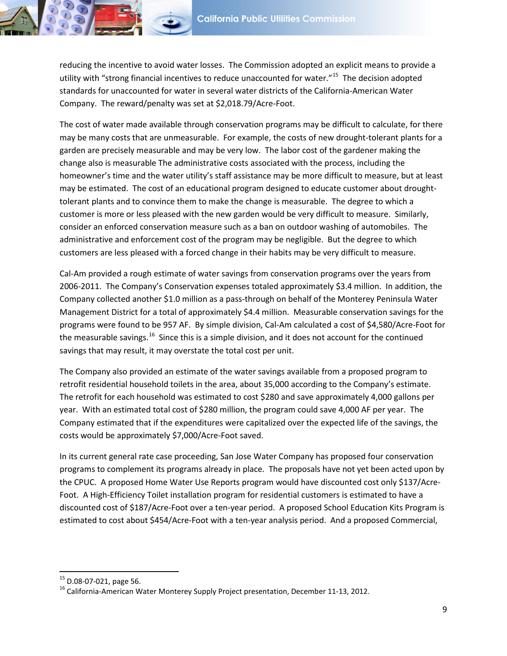reducing the incentive to avoid water losses. The Commission adopted an explicit means to provide a utility with "strong financial incentives to reduce unaccounted for water."<sup>15</sup> The decision adopted standards for unaccounted for water in several water districts of the California-American Water Company. The reward/penalty was set at \$2,018.79/Acre-Foot.

The cost of water made available through conservation programs may be difficult to calculate, for there may be many costs that are unmeasurable. For example, the costs of new drought-tolerant plants for a garden are precisely measurable and may be very low. The labor cost of the gardener making the change also is measurable The administrative costs associated with the process, including the homeowner's time and the water utility's staff assistance may be more difficult to measure, but at least may be estimated. The cost of an educational program designed to educate customer about droughttolerant plants and to convince them to make the change is measurable. The degree to which a customer is more or less pleased with the new garden would be very difficult to measure. Similarly, consider an enforced conservation measure such as a ban on outdoor washing of automobiles. The administrative and enforcement cost of the program may be negligible. But the degree to which customers are less pleased with a forced change in their habits may be very difficult to measure.

Cal-Am provided a rough estimate of water savings from conservation programs over the years from 2006-2011. The Company's Conservation expenses totaled approximately \$3.4 million. In addition, the Company collected another \$1.0 million as a pass-through on behalf of the Monterey Peninsula Water Management District for a total of approximately \$4.4 million. Measurable conservation savings for the programs were found to be 957 AF. By simple division, Cal-Am calculated a cost of \$4,580/Acre-Foot for the measurable savings.<sup>16</sup> Since this is a simple division, and it does not account for the continued savings that may result, it may overstate the total cost per unit.

The Company also provided an estimate of the water savings available from a proposed program to retrofit residential household toilets in the area, about 35,000 according to the Company's estimate. The retrofit for each household was estimated to cost \$280 and save approximately 4,000 gallons per year. With an estimated total cost of \$280 million, the program could save 4,000 AF per year. The Company estimated that if the expenditures were capitalized over the expected life of the savings, the costs would be approximately \$7,000/Acre-Foot saved.

In its current general rate case proceeding, San Jose Water Company has proposed four conservation programs to complement its programs already in place. The proposals have not yet been acted upon by the CPUC. A proposed Home Water Use Reports program would have discounted cost only \$137/Acre-Foot. A High-Efficiency Toilet installation program for residential customers is estimated to have a discounted cost of \$187/Acre-Foot over a ten-year period. A proposed School Education Kits Program is estimated to cost about \$454/Acre-Foot with a ten-year analysis period. And a proposed Commercial,

<span id="page-8-1"></span><span id="page-8-0"></span><sup>&</sup>lt;sup>15</sup> D.08-07-021, page 56.<br><sup>16</sup> California-American Water Monterey Supply Project presentation, December 11-13, 2012.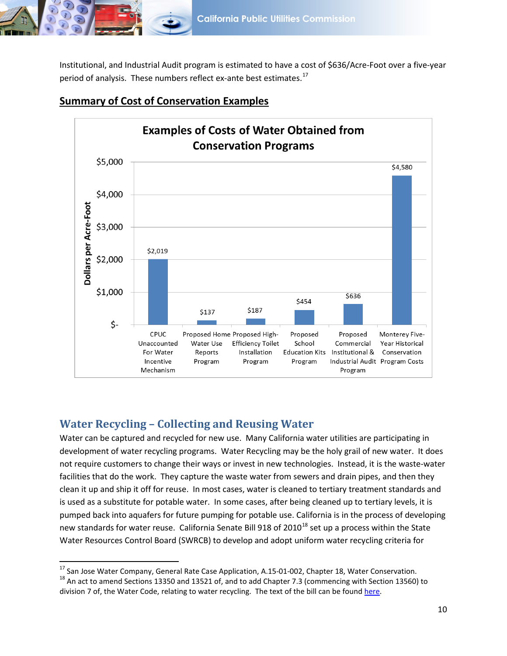

Institutional, and Industrial Audit program is estimated to have a cost of \$636/Acre-Foot over a five-year period of analysis. These numbers reflect ex-ante best estimates.<sup>[17](#page-9-1)</sup>



### **Summary of Cost of Conservation Examples**

## <span id="page-9-0"></span>**Water Recycling – Collecting and Reusing Water**

Water can be captured and recycled for new use. Many California water utilities are participating in development of water recycling programs. Water Recycling may be the holy grail of new water. It does not require customers to change their ways or invest in new technologies. Instead, it is the waste-water facilities that do the work. They capture the waste water from sewers and drain pipes, and then they clean it up and ship it off for reuse. In most cases, water is cleaned to tertiary treatment standards and is used as a substitute for potable water. In some cases, after being cleaned up to tertiary levels, it is pumped back into aquafers for future pumping for potable use. California is in the process of developing new standards for water reuse. California Senate Bill 9[18](#page-9-2) of  $2010^{18}$  set up a process within the State Water Resources Control Board (SWRCB) to develop and adopt uniform water recycling criteria for

<span id="page-9-1"></span><sup>&</sup>lt;sup>17</sup> San Jose Water Company, General Rate Case Application, A.15-01-002, Chapter 18, Water Conservation.

<span id="page-9-2"></span> $18$  An act to amend Sections 13350 and 13521 of, and to add Chapter 7.3 (commencing with Section 13560) to division 7 of, the Water Code, relating to water recycling. The text of the bill can be found [here.](http://leginfo.legislature.ca.gov/faces/billNavClient.xhtml?bill_id=200920100SB918)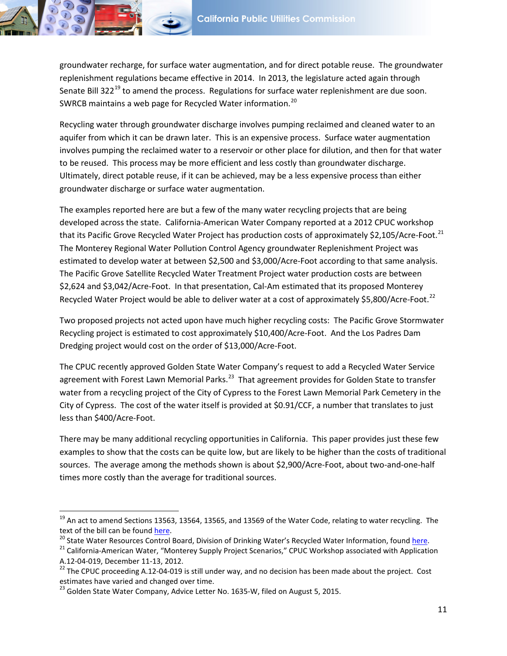groundwater recharge, for surface water augmentation, and for direct potable reuse. The groundwater replenishment regulations became effective in 2014. In 2013, the legislature acted again through Senate Bill 322 $^{19}$  $^{19}$  $^{19}$  to amend the process. Regulations for surface water replenishment are due soon. SWRCB maintains a web page for Recycled Water information.<sup>[20](#page-10-1)</sup>

Recycling water through groundwater discharge involves pumping reclaimed and cleaned water to an aquifer from which it can be drawn later. This is an expensive process. Surface water augmentation involves pumping the reclaimed water to a reservoir or other place for dilution, and then for that water to be reused. This process may be more efficient and less costly than groundwater discharge. Ultimately, direct potable reuse, if it can be achieved, may be a less expensive process than either groundwater discharge or surface water augmentation.

The examples reported here are but a few of the many water recycling projects that are being developed across the state. California-American Water Company reported at a 2012 CPUC workshop that its Pacific Grove Recycled Water Project has production costs of approximately \$2,105/Acre-Foot.<sup>[21](#page-10-2)</sup> The Monterey Regional Water Pollution Control Agency groundwater Replenishment Project was estimated to develop water at between \$2,500 and \$3,000/Acre-Foot according to that same analysis. The Pacific Grove Satellite Recycled Water Treatment Project water production costs are between \$2,624 and \$3,042/Acre-Foot. In that presentation, Cal-Am estimated that its proposed Monterey Recycled Water Project would be able to deliver water at a cost of approximately \$5,800/Acre-Foot.<sup>[22](#page-10-3)</sup>

Two proposed projects not acted upon have much higher recycling costs: The Pacific Grove Stormwater Recycling project is estimated to cost approximately \$10,400/Acre-Foot. And the Los Padres Dam Dredging project would cost on the order of \$13,000/Acre-Foot.

The CPUC recently approved Golden State Water Company's request to add a Recycled Water Service agreement with Forest Lawn Memorial Parks.<sup>23</sup> That agreement provides for Golden State to transfer water from a recycling project of the City of Cypress to the Forest Lawn Memorial Park Cemetery in the City of Cypress. The cost of the water itself is provided at \$0.91/CCF, a number that translates to just less than \$400/Acre-Foot.

There may be many additional recycling opportunities in California. This paper provides just these few examples to show that the costs can be quite low, but are likely to be higher than the costs of traditional sources. The average among the methods shown is about \$2,900/Acre-Foot, about two-and-one-half times more costly than the average for traditional sources.

l

<span id="page-10-0"></span> $19$  An act to amend Sections 13563, 13564, 13565, and 13569 of the Water Code, relating to water recycling. The

<span id="page-10-1"></span>

text of the bill can be found <u>here</u>.<br><sup>20</sup> State Water Resources Control Board, Division of Drinking Water's Recycled Water Information, foun[d here.](http://leginfo.legislature.ca.gov/faces/billNavClient.xhtml?bill_id=201320140SB322)<br><sup>21</sup> California-American Water, "Monterey Supply Project Scenarios," CPUC

<span id="page-10-3"></span><span id="page-10-2"></span>A.12-04-019, December 11-13, 2012.<br><sup>22</sup> The CPUC proceeding A.12-04-019 is still under way, and no decision has been made about the project. Cost estimates have varied and changed over time.

<span id="page-10-4"></span> $^{23}$  Golden State Water Company, Advice Letter No. 1635-W, filed on August 5, 2015.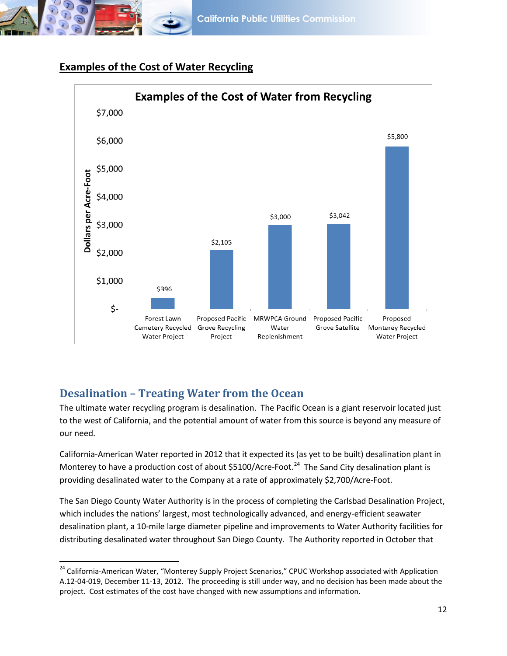

l



## **Examples of the Cost of Water Recycling**

## <span id="page-11-0"></span>**Desalination – Treating Water from the Ocean**

The ultimate water recycling program is desalination. The Pacific Ocean is a giant reservoir located just to the west of California, and the potential amount of water from this source is beyond any measure of our need.

California-American Water reported in 2012 that it expected its (as yet to be built) desalination plant in Monterey to have a production cost of about \$5100/Acre-Foot.<sup>[24](#page-11-1)</sup> The Sand City desalination plant is providing desalinated water to the Company at a rate of approximately \$2,700/Acre-Foot.

The San Diego County Water Authority is in the process of completing the Carlsbad Desalination Project, which includes the nations' largest, most technologically advanced, and energy-efficient seawater desalination plant, a 10-mile large diameter pipeline and improvements to Water Authority facilities for distributing desalinated water throughout San Diego County. The Authority reported in October that

<span id="page-11-1"></span><sup>&</sup>lt;sup>24</sup> California-American Water, "Monterey Supply Project Scenarios," CPUC Workshop associated with Application A.12-04-019, December 11-13, 2012. The proceeding is still under way, and no decision has been made about the project. Cost estimates of the cost have changed with new assumptions and information.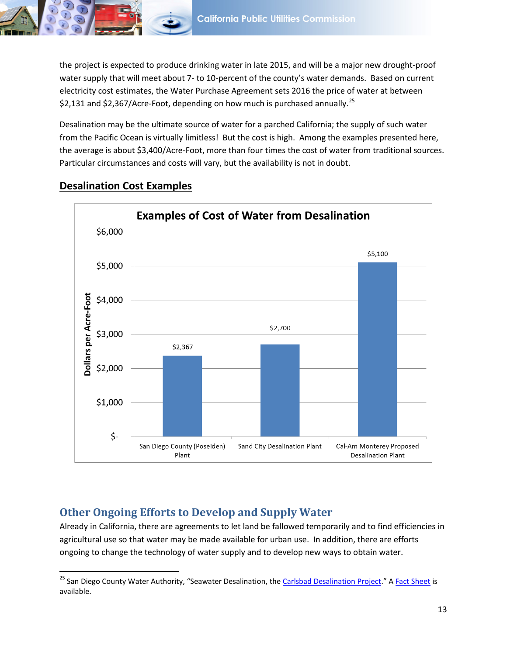

the project is expected to produce drinking water in late 2015, and will be a major new drought-proof water supply that will meet about 7- to 10-percent of the county's water demands. Based on current electricity cost estimates, the Water Purchase Agreement sets 2016 the price of water at between \$2,131 and \$2,367/Acre-Foot, depending on how much is purchased annually.<sup>[25](#page-12-1)</sup>

Desalination may be the ultimate source of water for a parched California; the supply of such water from the Pacific Ocean is virtually limitless! But the cost is high. Among the examples presented here, the average is about \$3,400/Acre-Foot, more than four times the cost of water from traditional sources. Particular circumstances and costs will vary, but the availability is not in doubt.



## **Desalination Cost Examples**

 $\overline{\phantom{a}}$ 

## <span id="page-12-0"></span>**Other Ongoing Efforts to Develop and Supply Water**

Already in California, there are agreements to let land be fallowed temporarily and to find efficiencies in agricultural use so that water may be made available for urban use. In addition, there are efforts ongoing to change the technology of water supply and to develop new ways to obtain water.

<span id="page-12-1"></span><sup>&</sup>lt;sup>25</sup> San Diego County Water Authority, "Seawater Desalination, the <u>Carlsbad Desalination Project</u>." A <u>Fact Sheet</u> is available.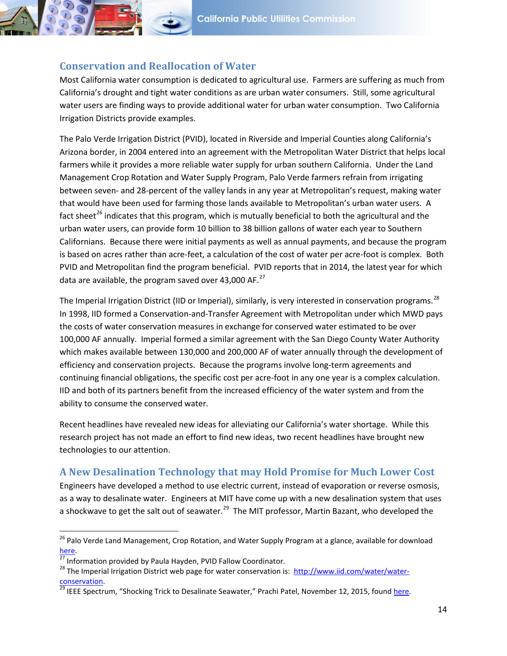

#### <span id="page-13-0"></span>**Conservation and Reallocation of Water**

Most California water consumption is dedicated to agricultural use. Farmers are suffering as much from California's drought and tight water conditions as are urban water consumers. Still, some agricultural water users are finding ways to provide additional water for urban water consumption. Two California Irrigation Districts provide examples.

The Palo Verde Irrigation District (PVID), located in Riverside and Imperial Counties along California's Arizona border, in 2004 entered into an agreement with the Metropolitan Water District that helps local farmers while it provides a more reliable water supply for urban southern California. Under the Land Management Crop Rotation and Water Supply Program, Palo Verde farmers refrain from irrigating between seven- and 28-percent of the valley lands in any year at Metropolitan's request, making water that would have been used for farming those lands available to Metropolitan's urban water users. A fact sheet<sup>[26](#page-13-2)</sup> indicates that this program, which is mutually beneficial to both the agricultural and the urban water users, can provide form 10 billion to 38 billion gallons of water each year to Southern Californians. Because there were initial payments as well as annual payments, and because the program is based on acres rather than acre-feet, a calculation of the cost of water per acre-foot is complex. Both PVID and Metropolitan find the program beneficial. PVID reports that in 2014, the latest year for which data are available, the program saved over 43,000 AF. $^{27}$  $^{27}$  $^{27}$ 

The Imperial Irrigation District (IID or Imperial), similarly, is very interested in conservation programs.<sup>28</sup> In 1998, IID formed a Conservation-and-Transfer Agreement with Metropolitan under which MWD pays the costs of water conservation measures in exchange for conserved water estimated to be over 100,000 AF annually. Imperial formed a similar agreement with the San Diego County Water Authority which makes available between 130,000 and 200,000 AF of water annually through the development of efficiency and conservation projects. Because the programs involve long-term agreements and continuing financial obligations, the specific cost per acre-foot in any one year is a complex calculation. IID and both of its partners benefit from the increased efficiency of the water system and from the ability to consume the conserved water.

Recent headlines have revealed new ideas for alleviating our California's water shortage. While this research project has not made an effort to find new ideas, two recent headlines have brought new technologies to our attention.

## <span id="page-13-1"></span>**A New Desalination Technology that may Hold Promise for Much Lower Cost**

Engineers have developed a method to use electric current, instead of evaporation or reverse osmosis, as a way to desalinate water. Engineers at MIT have come up with a new desalination system that uses a shockwave to get the salt out of seawater.<sup>[29](#page-13-5)</sup> The MIT professor, Martin Bazant, who developed the

<span id="page-13-2"></span><sup>&</sup>lt;sup>26</sup> Palo Verde Land Management, Crop Rotation, and Water Supply Program at a glance, available for download [here.](http://www.mwdh2o.com/newsroom/Publications/Pages/default.aspx)<br><sup>[27](http://www.mwdh2o.com/newsroom/Publications/Pages/default.aspx)</sup> Information provided by Paula Hayden, PVID Fallow Coordinator.<br><sup>28</sup> The Imperial Irrigation District web page for water conservation is: [http://www.iid.com/water/water-](http://www.iid.com/water/water-conservation)

<span id="page-13-3"></span>

<span id="page-13-4"></span>[conservation.](http://www.iid.com/water/water-conservation)<br><sup>[29](http://www.iid.com/water/water-conservation)</sup> IEEE Spectrum, "Shocking Trick to Desalinate Seawater," Prachi Patel, November 12, 2015, found here.

<span id="page-13-5"></span>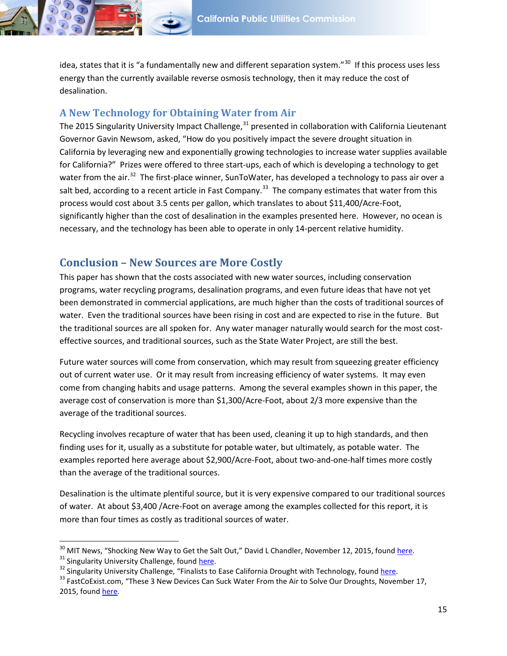idea, states that it is "a fundamentally new and different separation system."<sup>[30](#page-14-2)</sup> If this process uses less energy than the currently available reverse osmosis technology, then it may reduce the cost of desalination.

#### <span id="page-14-0"></span>**A New Technology for Obtaining Water from Air**

The 2015 Singularity University Impact Challenge,<sup>[31](#page-14-3)</sup> presented in collaboration with California Lieutenant Governor Gavin Newsom, asked, "How do you positively impact the severe drought situation in California by leveraging new and exponentially growing technologies to increase water supplies available for California?" Prizes were offered to three start-ups, each of which is developing a technology to get water from the air.<sup>[32](#page-14-4)</sup> The first-place winner, SunToWater, has developed a technology to pass air over a salt bed, according to a recent article in Fast Company.<sup>[33](#page-14-5)</sup> The company estimates that water from this process would cost about 3.5 cents per gallon, which translates to about \$11,400/Acre-Foot, significantly higher than the cost of desalination in the examples presented here. However, no ocean is necessary, and the technology has been able to operate in only 14-percent relative humidity.

### <span id="page-14-1"></span>**Conclusion – New Sources are More Costly**

This paper has shown that the costs associated with new water sources, including conservation programs, water recycling programs, desalination programs, and even future ideas that have not yet been demonstrated in commercial applications, are much higher than the costs of traditional sources of water. Even the traditional sources have been rising in cost and are expected to rise in the future. But the traditional sources are all spoken for. Any water manager naturally would search for the most costeffective sources, and traditional sources, such as the State Water Project, are still the best.

Future water sources will come from conservation, which may result from squeezing greater efficiency out of current water use. Or it may result from increasing efficiency of water systems. It may even come from changing habits and usage patterns. Among the several examples shown in this paper, the average cost of conservation is more than \$1,300/Acre-Foot, about 2/3 more expensive than the average of the traditional sources.

Recycling involves recapture of water that has been used, cleaning it up to high standards, and then finding uses for it, usually as a substitute for potable water, but ultimately, as potable water. The examples reported here average about \$2,900/Acre-Foot, about two-and-one-half times more costly than the average of the traditional sources.

Desalination is the ultimate plentiful source, but it is very expensive compared to our traditional sources of water. At about \$3,400 /Acre-Foot on average among the examples collected for this report, it is more than four times as costly as traditional sources of water.

<span id="page-14-2"></span><sup>&</sup>lt;sup>30</sup> MIT News, "Shocking New Way to Get the Salt Out," David L Chandler, November 12, 2015, found <u>here</u>.<br><sup>31</sup> Singularity University Challenge, found [here.](http://singularityu.org/2015impactchallenge/)<br><sup>32</sup> Singularity University Challenge, "Finalists to Ease Califo

<span id="page-14-3"></span>

<span id="page-14-4"></span>

<span id="page-14-5"></span><sup>2015,</sup> foun[d here.](http://www.fastcoexist.com/3053309/these-3-new-devices-can-suck-water-from-the-air-to-solve-our-droughts%231)